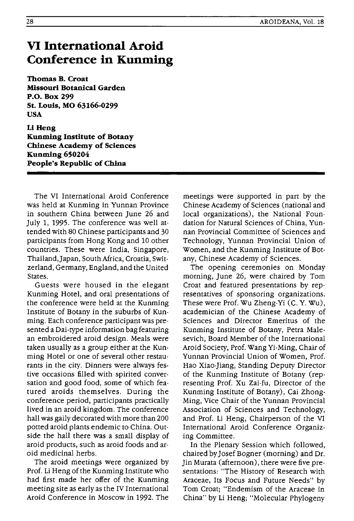## **VI International Aroid Conference in Kunming**

**Thomas B. Croat Missouri Botanical Garden P.o. Box 299 St. Louis, MO 63166-0299 USA** 

Li Heng **Kunming Institute of Botany Chinese Academy of Sciences Kunming 650204 People's Republic of China** 

The VI International Aroid Conference was held at Kunming in Yunnan Province in southern China between June 26 and July 1, 1995. The conference was well attended with 80 Chinese participants and 30 participants from Hong Kong and 10 other countries. These were India, Singapore, Thailand,Japan, South Africa, Croatia, Switzerland, Germany, England, and the United States.

Guests were housed in the elegant Kunming Hotel, and oral presentations of the conference were held at the Kunming Institute of Botany in the suburbs of Kunming. Each conference participant was presented a Dai-type information bag featuring an embroidered aroid design. Meals were taken usually as a group either at the Kunming Hotel or one of several other restaurants in the city. Dinners were always festive occasions filled with spirited conversation and good food, some of which featured aroids themselves. During the conference period, participants practically lived in an aroid kingdom. The conference hall was gaily decorated with more than 200 potted aroid plants endemic to China. Outside the hall there was a small display of aroid products, such as aroid foods and aroid medicinal herbs.

The aroid meetings were organized by Prof. Li Heng of the Kunming Institute who had first made her offer of the Kunming meeting site as early as the IV International Aroid Conference in Moscow in 1992. The

meetings were supported in part by the Chinese Academy of Sciences (national and local organizations), the National Foundation for Natural Sciences of China, Yunnan Provincial Committee of Sciences and Technology, Yunnan Provincial Union of Women, and the Kunming Institute of Botany, Chinese Academy of Sciences.

The opening ceremonies on Monday morning, June 26, were chaired by Tom Croat and featured presentations by representatives of sponsoring organizations. These were Prof. Wu Zheng-Yi (C. Y. Wu), academician of the Chinese Academy of Sciences and Director Emeritus of the Kunming Institute of Botany, Petra Malesevich, Board Member of the International Aroid Society, Prof. Wang Yi-Ming, Chair of Yunnan Provincial Union of Women, Prof. Hao Xiao-Jiang, Standing Deputy Director of the Kunming Institute of Botany (representing Prof. Xu Zai-fu, Director of the Kunming Institute of Botany), Cai Zhong-Ming, Vice Chair of the Yunnan Provincial Association of Sciences and Technology, and Prof. Li Heng, Chairperson of the VI International Aroid Conference Organizing Committee.

In the Plenary Session which followed, chaired by Josef Bogner (morning) and Dr. Jin Murata (afternoon), there were five presentations: "The History of Research with Araceae, Its Focus and Future Needs" by Tom Croat; "Endemism of the Araceae in China" by Li Heng; "Molecular Phylogeny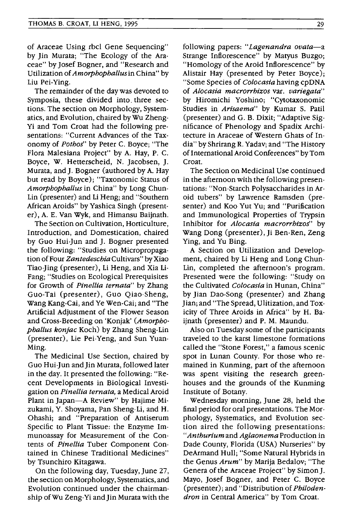of Araceae Using rbel Gene Sequencing" by Jin Murata; "The Ecology of the Araceae" by Josef Bogner, and "Research and Utilization of *Amorphophallusin* China" by Liu Pei-Ying.

The remainder of the day was devoted to Symposia, these divided into. three sections. The section on Morphology, Systematics, and Evolution, chaired byWu Zheng-Yi and Tom Croat had the following presentations: "Current Advances of the Taxonomy of *Pothos"* by Peter C. Boyce; "The Flora Malesiana Project" by A. Hay, P. C. Boyce, W. Hetterscheid, N. Jacobsen, J. Murata, and J. Bogner (authored by A. Hay but read by Boyce); "Taxonomic Status of *Amorphophallus* in China" by Long Chun-Lin (presenter) and Li Heng; and "Southern African Aroids" by Yashica Singh (presenter), A. E. Van Wyk, and Himansu Baijnath.

The Section on Cultivation, Horticulture, Introduction, and Domestication, chaired by Guo Hui-Jun and J. Bogner presented the following: "Studies on Micropropagation of Four *Zantedeschia* Cultivars" by Xiao Tiao-Jing (presenter), Li Heng, and Xia Li-Fang; "Studies on Ecological Prerequisites for Growth of *Pinellia ternata"* by Zhang Guo-Tai (presenter), Guo Qiao-Sheng, Wang Kang-Cai, and Ye Wen-Cai; and "The Artificial Adjustment of the Flower Season and Cross-Breeding on 'Konjak' *(Amorphophallus konjac* Koch) by Zhang Sheng-Lin (presenter), Lie Pei-Yeng, and Sun Yuan-Ming.

The Medicinal Use Section, chaired by Guo Hui-Jun andJin Murata, followed later in the day. It presented the following: "Recent Developments in Biological Investigation on *Pinellia ternata,* a Medical Aroid Plant in Japan-A Review" by Hajime Mizukami, Y. Shoyama, Pan Sheng-Li, and H. Ohashi; and "Preparation of Antiserum Specific to Plant Tissue: the Enzyme Immunoassay for Measurement of the Contents of *Pinellia* Tuber Component Contained in Chinese Traditional Medicines" by Tsunchiro Kitagawa.

On the following day, Tuesday, June 27, the section on Morphology, Systematics, and Evolution continued under the chairmanship of Wu Zeng-Yi and Jin Murata with the

following papers: *"Lagenandra ovata-a*  Strange Inflorescence" by Matyus Buzgo; "Homology of the Aroid Inflorescence" by Alistair Hay (presented by Peter Boyce); "Some Species of *Colocasia* having cpDNA of *Alocasia macrorrhizos* var. *variegata"*  by Hiromichi Yoshino; "Cytotaxonomic Studies in *Arisaema"* by Kumar S. Pati! (presenter) and G. B. Dixit; "Adaptive Significance of Phenology and Spadix Architecture in Araceae of Western Ghats of India" by Shrirang R. Yadav; and "The History of International Aroid Conferences" by Tom Croat.

The Section on Medicinal Use continued in the afternoon with the following presentations: "Non-Starch Polysaccharides in Aroid tubers" by Lawrence Ramsden (presenter) and Koo Yut Yu; and "Purification and Immunological Properties of Trypsin Inhibitor for *Alocasia macrorrhizos'* by Wang Dong (presenter), Ji Ben-Ren, Zeng Ying, and Yu Bing.

A Section on Utilization and Development, chaired by Li Heng and Long Chun-Lin, completed the afternoon's program. Presented were the following: "Study on the Cultivated *Colocasia* in Hunan, China" by Jian Dao-Song (presenter) and Zhang Jian; and "The Spread, Ulitization, and Toxicity of Three Aroids in Africa" by H. Baijnath (presenter) and P. M. Maundu.

Also on Tuesday some of the participants traveled to the karst limestone formations called the "Stone Forest," a famous scenic spot in Lunan County. For those who remained in Kunming, part of the afternoon was spent visiting the research greenhouses and the grounds of the Kunming Institute of Botany.

Wednesday morning, June 28, held the final period for oral presentations. The Morphology, Systematics, and Evolution section aired the following presentations: *"Anthurium* and *Aglaonema* Production in Dade County, Florida (USA) Nurseries" by DeArmand Hull; "Some Natural Hybrids in the Genus *Arum"* by Marija Bedalov; "The Genera of the Araceae Project" by Simon J. Mayo, Josef Bogner, and Peter C. Boyce (presenter); and "Distribution of *Philodendron* in Central America" by Tom Croat.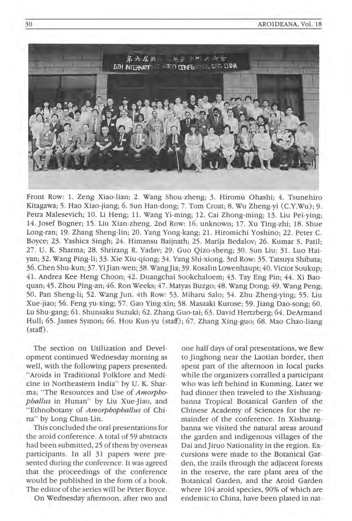

Front Row: 1. Zeng Xiao-lian; 2. Wang Shou-zheng; 3. Hiromu Ohashi; 4. Tsunehiro Kitagawa; 5. Hao Xiao-jiang; 6. Sun Han-dong; 7. Tom Croat; 8. Wu Zheng-yi (C.Y.Wu); 9. Petra Malesevich; 10. Li Heng; 11. Wang Yi-ming; 12. Cai Zhong-ming; 13. Liu Pei-ying; 14. Josef Bogner; 15. Liu Xian-zheng . 2nd Row: 16. unknown; 17. Xu Ting-zhi; 18. Shue Long-ran; 19. Zhang Sheng-lin; 20. Yang Yong-kang; 21. Hiromichi Yoshino; 22. Peter C. Boyce; 23. Yashica Singh; 24. Himansu Baijnath; 25 . Marija Bedalov; 26. Kumar S. Patil; 27. U. K. Sharma; 28. Shrirang R. Yadav; 29. Guo Oizo-sheng; 30. Sun Liu; 31. Luo Haiyan; 32. Wang Ping-li; 33 . Xie Xiu-qiong; 34 . Yang Shi-xiong. 3rd Row: 35. Tatsuya Shibata; 36. Chen Shu-kun; 37. YiJian-wen; 38. WangJia; 39. Rosalin Lowenhaupt; 40. Victor Soukup; 41. Andrea Kee Heng Choon; 42 . Duangchai Sookchaloem; 43. Tay Eng Pin; 44. Xi Baoquan; 45. Zhou Ping-an; 46 . Ron Weeks; 47. Matyas Buzgo; 48. Wang Dong; 49. Wang Peng; 50. Pan Sheng-li; 52. Wang Jun. 4th Row: 53. Miharu Salo; 54. Zhu Zheng-ying; 55 . Liu Xue-jiao; 56. Feng yu-xing; 57. Gao Ying-xin; 58. Masaaki Kurose; 59. Jiang Dao-song; 60. Lu Shu-gang; 61. Shunsaku Suzuki; 62. Zhang Guo-tai; 63. David Hertzberg; 64 . DeArmand Hull; 65. James Symon; 66 . Hou Kun-yu (staff); 67. Zhang Xing-guo; 68. Mao Chao-liang (staff) .

The section on Utilization and Development continued Wednesday morning as well, with the following papers presented: "Aroids in Traditional Folklore and Medicine in Northeastern India" by U. K. Sharma; "The Resources and Use of *Amorphophallus* in Hunan" by Liu Xue-Jiao, and "Ethnobotany of *Amorphophallus* of China" by Long Chun-Lin.

This concluded the oral presentations for the aroid conference. A total of 59 abstracts had been submitted, 25 of them by overseas participants. In all 31 papers were presented during the conference. It was agreed that the proceedings of the conference would be published in the form of a book. The editor of the series will be Peter Boyce.

On Wednesday afternoon, after two and

one half days of oral presentations, we flew to Jinghong near the Laotian border, then spent part of the afternoon in local parks while the organizers corralled a participant who was left behind in Kunming. Later we had dinner then traveled to the Xishuangbanna Tropical Botanical Garden of the Chinese Academy of Sciences for the remainder of the conference. In Xishuangbanna we visited the natural areas around the garden and indigenous villages of the Dai and Jiruo Nationality in the region. Excursions were made to the Botanical Garden, the trails through the adjacent forests in the reserve, the rare plant area of the Botanical Garden, and the Aroid Garden where 104 aroid species, 90% of which are endemic to China, have been plated in nat